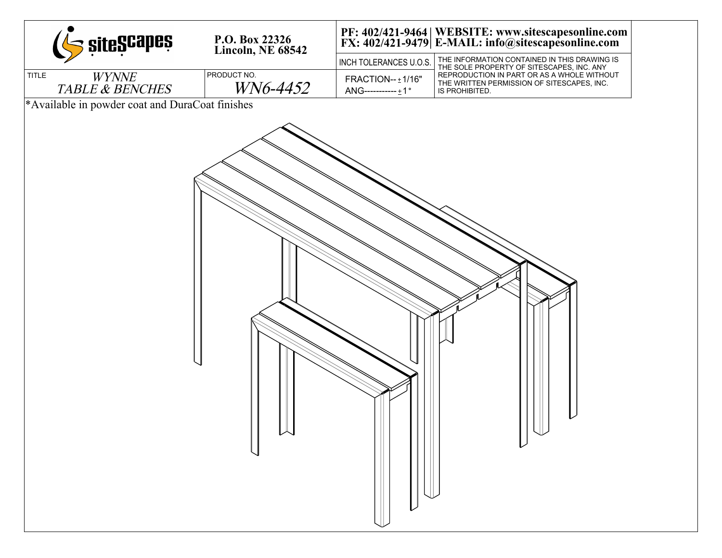